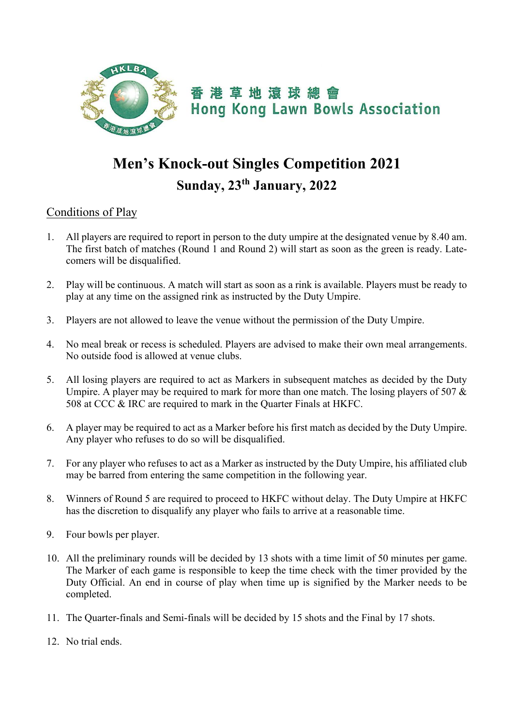

## **Men's Knock-out Singles Competition 2021 Sunday, 23th January, 2022**

## Conditions of Play

- 1. All players are required to report in person to the duty umpire at the designated venue by 8.40 am. The first batch of matches (Round 1 and Round 2) will start as soon as the green is ready. Latecomers will be disqualified.
- 2. Play will be continuous. A match will start as soon as a rink is available. Players must be ready to play at any time on the assigned rink as instructed by the Duty Umpire.
- 3. Players are not allowed to leave the venue without the permission of the Duty Umpire.
- 4. No meal break or recess is scheduled. Players are advised to make their own meal arrangements. No outside food is allowed at venue clubs.
- 5. All losing players are required to act as Markers in subsequent matches as decided by the Duty Umpire. A player may be required to mark for more than one match. The losing players of 507 & 508 at CCC & IRC are required to mark in the Quarter Finals at HKFC.
- 6. A player may be required to act as a Marker before his first match as decided by the Duty Umpire. Any player who refuses to do so will be disqualified.
- 7. For any player who refuses to act as a Marker as instructed by the Duty Umpire, his affiliated club may be barred from entering the same competition in the following year.
- 8. Winners of Round 5 are required to proceed to HKFC without delay. The Duty Umpire at HKFC has the discretion to disqualify any player who fails to arrive at a reasonable time.
- 9. Four bowls per player.
- 10. All the preliminary rounds will be decided by 13 shots with a time limit of 50 minutes per game. The Marker of each game is responsible to keep the time check with the timer provided by the Duty Official. An end in course of play when time up is signified by the Marker needs to be completed.
- 11. The Quarter-finals and Semi-finals will be decided by 15 shots and the Final by 17 shots.
- 12. No trial ends.